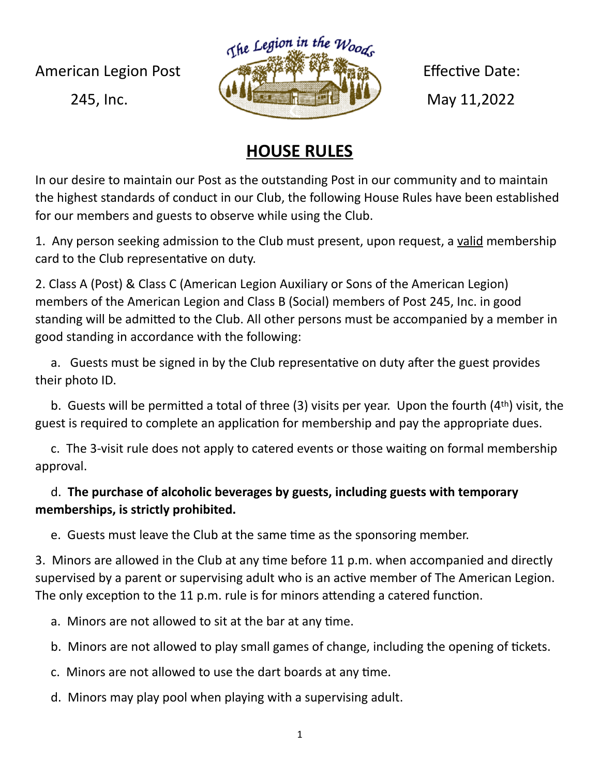The Legion in the Woods American Legion Post Effective Date: 245, Inc. **May 11,2022** 

## **HOUSE RULES**

In our desire to maintain our Post as the outstanding Post in our community and to maintain the highest standards of conduct in our Club, the following House Rules have been established for our members and guests to observe while using the Club.

1. Any person seeking admission to the Club must present, upon request, a valid membership card to the Club representative on duty.

2. Class A (Post) & Class C (American Legion Auxiliary or Sons of the American Legion) members of the American Legion and Class B (Social) members of Post 245, Inc. in good standing will be admitted to the Club. All other persons must be accompanied by a member in good standing in accordance with the following:

 a. Guests must be signed in by the Club representative on duty after the guest provides their photo ID.

 b. Guests will be permitted a total of three (3) visits per year. Upon the fourth (4th) visit, the guest is required to complete an application for membership and pay the appropriate dues.

 c. The 3-visit rule does not apply to catered events or those waiting on formal membership approval.

## d. **The purchase of alcoholic beverages by guests, including guests with temporary memberships, is strictly prohibited.**

e. Guests must leave the Club at the same time as the sponsoring member.

3. Minors are allowed in the Club at any time before 11 p.m. when accompanied and directly supervised by a parent or supervising adult who is an active member of The American Legion. The only exception to the 11 p.m. rule is for minors attending a catered function.

a. Minors are not allowed to sit at the bar at any time.

b. Minors are not allowed to play small games of change, including the opening of tickets.

c. Minors are not allowed to use the dart boards at any time.

d. Minors may play pool when playing with a supervising adult.